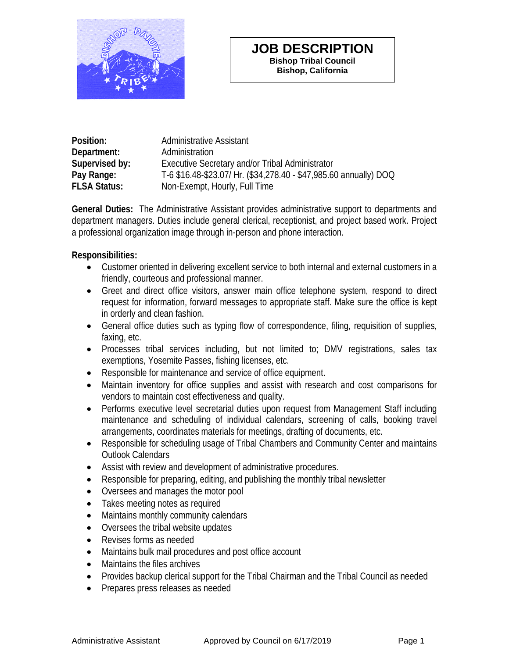

### **JOB DESCRIPTION Bishop Tribal Council Bishop, California**

| Position:           | <b>Administrative Assistant</b>                                   |
|---------------------|-------------------------------------------------------------------|
| Department:         | Administration                                                    |
| Supervised by:      | Executive Secretary and/or Tribal Administrator                   |
| Pay Range:          | T-6 \$16.48-\$23.07/ Hr. (\$34,278.40 - \$47,985.60 annually) DOQ |
| <b>FLSA Status:</b> | Non-Exempt, Hourly, Full Time                                     |

**General Duties:** The Administrative Assistant provides administrative support to departments and department managers. Duties include general clerical, receptionist, and project based work. Project a professional organization image through in-person and phone interaction.

### **Responsibilities:**

- Customer oriented in delivering excellent service to both internal and external customers in a friendly, courteous and professional manner.
- Greet and direct office visitors, answer main office telephone system, respond to direct request for information, forward messages to appropriate staff. Make sure the office is kept in orderly and clean fashion.
- General office duties such as typing flow of correspondence, filing, requisition of supplies, faxing, etc.
- Processes tribal services including, but not limited to; DMV registrations, sales tax exemptions, Yosemite Passes, fishing licenses, etc.
- Responsible for maintenance and service of office equipment.
- Maintain inventory for office supplies and assist with research and cost comparisons for vendors to maintain cost effectiveness and quality.
- Performs executive level secretarial duties upon request from Management Staff including maintenance and scheduling of individual calendars, screening of calls, booking travel arrangements, coordinates materials for meetings, drafting of documents, etc.
- Responsible for scheduling usage of Tribal Chambers and Community Center and maintains Outlook Calendars
- Assist with review and development of administrative procedures.
- Responsible for preparing, editing, and publishing the monthly tribal newsletter
- Oversees and manages the motor pool
- Takes meeting notes as required
- Maintains monthly community calendars
- Oversees the tribal website updates
- Revises forms as needed
- Maintains bulk mail procedures and post office account
- Maintains the files archives
- Provides backup clerical support for the Tribal Chairman and the Tribal Council as needed
- Prepares press releases as needed